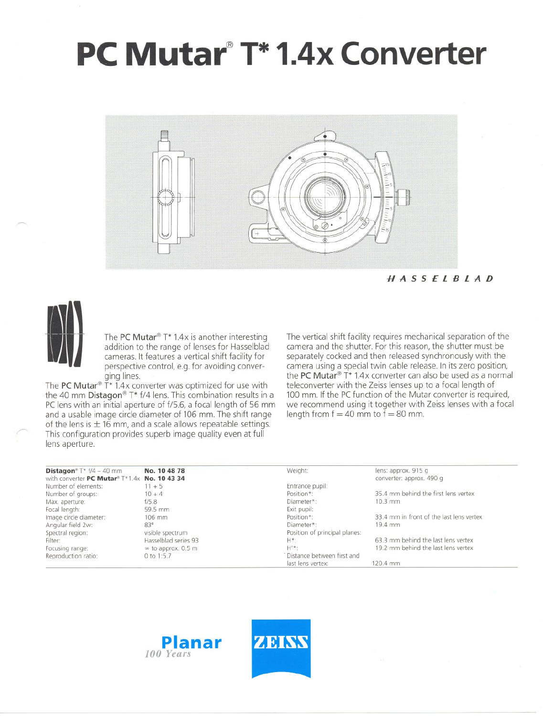# **PC Mutar@T\* 1.4x Converter**



## HASSElBlAD



The PC Mutar<sup>®</sup> T\* 1.4x is another interesting addition to the range of lenses tor Hasselblad cameras. It features a vertical shift facility tor perspective control, e.g. for avoiding converging lines.

The PC Mutar<sup>®</sup>  $\check{T}^*$  1.4x converter was optimized for use with the 40 mm Distagon® T\* f/4 lens. This combination results in a PC lens with an initial aperture of f/5.6, a focal length of 56 mm and a usable image circle diameter of 106 mm. The shift range of the lens is  $\pm$  16 mm, and a scale allows repeatable settings. This configuration provides superb image quality even at full lens aperture.

The vertical shift facility requires mechanical separation of the camera and the shutter. For this reason, the shutter must be separately cocked and then released synchronously with the camera using a special twin cable release. In its zero position, the PC Mutar<sup>®</sup> T<sup>\*</sup> 1.4x converter can also be used as a normal teleconverter with the Zeiss lenses up to a focal length of 100 mm. If the PC function of the Mutar converter is required, we recommend using it together with Zeiss lenses with a focal length from  $f = 40$  mm to  $\tilde{f} = 80$  mm.

| <b>Distagon</b> <sup>®</sup> $T^*$ $f/4 - 40$ mm | No. 10 48 78              | Weight:                       | lens: approx. 915 g                      |  |
|--------------------------------------------------|---------------------------|-------------------------------|------------------------------------------|--|
| with converter PC Mutar® T*1.4x No. 10 43 34     |                           |                               | converter: approx. 490 g                 |  |
| Number of elements:                              | $11 + 5$                  | Entrance pupil:               |                                          |  |
| Number of groups:                                | $10 + 4$                  | Position*:                    | 35.4 mm behind the first lens vertex     |  |
| Max. aperture:                                   | f/5.8                     | Diameter*:                    | $10.3$ mm                                |  |
| Focal length:                                    | 59.5 mm                   | Exit pupil:                   |                                          |  |
| Image circle diameter:                           | 106 mm                    | Position*:                    | 33.4 mm in front of the last lens vertex |  |
| Angular field 2w:                                | 83°                       | Diameter*:                    | 19.4 mm                                  |  |
| Spectral region:                                 | visible spectrum          | Position of principal planes: |                                          |  |
| Filter:                                          | Hasselblad series 93      | H*:                           | 63.3 mm behind the last lens vertex      |  |
| Focusing range:                                  | $\infty$ to approx. 0.5 m | $H'*$ :                       | 19.2 mm behind the last lens vertex      |  |
| Reproduction ratio:                              | 0 to 1:5.7                | Distance between first and    |                                          |  |
|                                                  |                           | last lens vertex:             | 120.4 mm                                 |  |